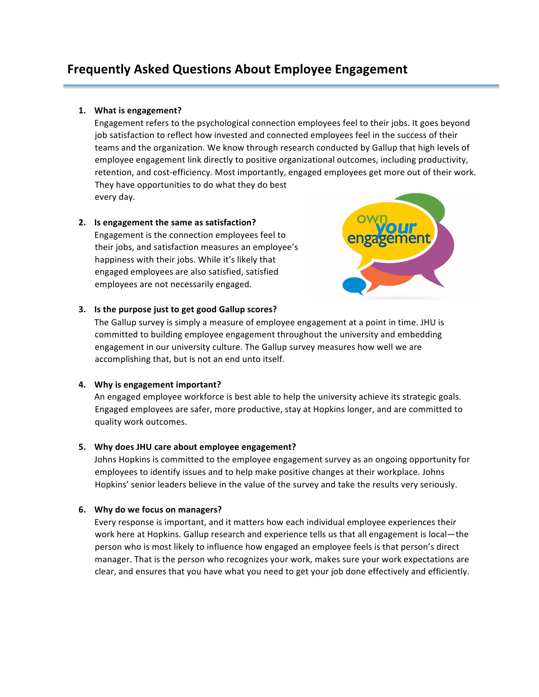# **Frequently Asked Questions About Employee Engagement**

## **1. What is engagement?**

Engagement refers to the psychological connection employees feel to their jobs. It goes beyond job satisfaction to reflect how invested and connected employees feel in the success of their teams and the organization. We know through research conducted by Gallup that high levels of employee engagement link directly to positive organizational outcomes, including productivity, retention, and cost-efficiency. Most importantly, engaged employees get more out of their work. They have opportunities to do what they do best every day.

## **2. Is engagement the same as satisfaction?**

Engagement is the connection employees feel to their jobs, and satisfaction measures an employee's happiness with their jobs. While it's likely that engaged employees are also satisfied, satisfied employees are not necessarily engaged.



## **3. Is the purpose just to get good Gallup scores?**

The Gallup survey is simply a measure of employee engagement at a point in time. JHU is committed to building employee engagement throughout the university and embedding engagement in our university culture. The Gallup survey measures how well we are accomplishing that, but is not an end unto itself.

# **4. Why is engagement important?**

An engaged employee workforce is best able to help the university achieve its strategic goals. Engaged employees are safer, more productive, stay at Hopkins longer, and are committed to quality work outcomes. 

# **5. Why does JHU care about employee engagement?**

Johns Hopkins is committed to the employee engagement survey as an ongoing opportunity for employees to identify issues and to help make positive changes at their workplace. Johns Hopkins' senior leaders believe in the value of the survey and take the results very seriously. 

# **6. Why do we focus on managers?**

Every response is important, and it matters how each individual employee experiences their work here at Hopkins. Gallup research and experience tells us that all engagement is local—the person who is most likely to influence how engaged an employee feels is that person's direct manager. That is the person who recognizes your work, makes sure your work expectations are clear, and ensures that you have what you need to get your job done effectively and efficiently.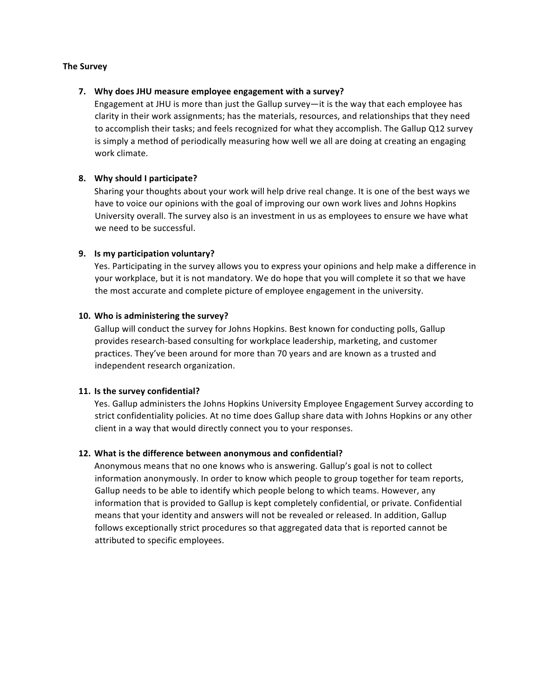#### **The Survey**

#### **7. Why does JHU measure employee engagement with a survey?**

Engagement at JHU is more than just the Gallup survey—it is the way that each employee has clarity in their work assignments; has the materials, resources, and relationships that they need to accomplish their tasks; and feels recognized for what they accomplish. The Gallup Q12 survey is simply a method of periodically measuring how well we all are doing at creating an engaging work climate.

## **8. Why should I participate?**

Sharing your thoughts about your work will help drive real change. It is one of the best ways we have to voice our opinions with the goal of improving our own work lives and Johns Hopkins University overall. The survey also is an investment in us as employees to ensure we have what we need to be successful.

## **9. Is my participation voluntary?**

Yes. Participating in the survey allows you to express your opinions and help make a difference in your workplace, but it is not mandatory. We do hope that you will complete it so that we have the most accurate and complete picture of employee engagement in the university.

## **10. Who is administering the survey?**

Gallup will conduct the survey for Johns Hopkins. Best known for conducting polls, Gallup provides research-based consulting for workplace leadership, marketing, and customer practices. They've been around for more than 70 years and are known as a trusted and independent research organization.

#### **11. Is the survey confidential?**

Yes. Gallup administers the Johns Hopkins University Employee Engagement Survey according to strict confidentiality policies. At no time does Gallup share data with Johns Hopkins or any other client in a way that would directly connect you to your responses.

#### **12. What is the difference between anonymous and confidential?**

Anonymous means that no one knows who is answering. Gallup's goal is not to collect information anonymously. In order to know which people to group together for team reports, Gallup needs to be able to identify which people belong to which teams. However, any information that is provided to Gallup is kept completely confidential, or private. Confidential means that your identity and answers will not be revealed or released. In addition, Gallup follows exceptionally strict procedures so that aggregated data that is reported cannot be attributed to specific employees.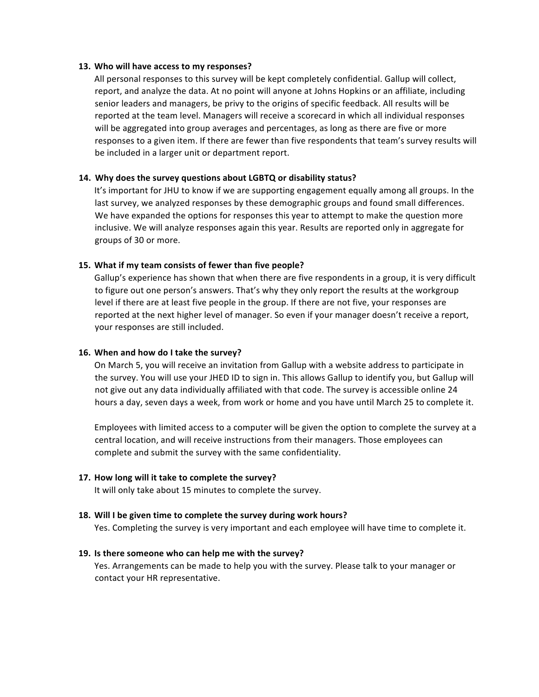#### **13. Who will have access to my responses?**

All personal responses to this survey will be kept completely confidential. Gallup will collect, report, and analyze the data. At no point will anyone at Johns Hopkins or an affiliate, including senior leaders and managers, be privy to the origins of specific feedback. All results will be reported at the team level. Managers will receive a scorecard in which all individual responses will be aggregated into group averages and percentages, as long as there are five or more responses to a given item. If there are fewer than five respondents that team's survey results will be included in a larger unit or department report.

#### **14. Why does the survey questions about LGBTQ or disability status?**

It's important for JHU to know if we are supporting engagement equally among all groups. In the last survey, we analyzed responses by these demographic groups and found small differences. We have expanded the options for responses this year to attempt to make the question more inclusive. We will analyze responses again this year. Results are reported only in aggregate for groups of 30 or more.

## **15. What if my team consists of fewer than five people?**

Gallup's experience has shown that when there are five respondents in a group, it is very difficult to figure out one person's answers. That's why they only report the results at the workgroup level if there are at least five people in the group. If there are not five, your responses are reported at the next higher level of manager. So even if your manager doesn't receive a report, your responses are still included.

#### **16. When and how do I take the survey?**

On March 5, you will receive an invitation from Gallup with a website address to participate in the survey. You will use your JHED ID to sign in. This allows Gallup to identify you, but Gallup will not give out any data individually affiliated with that code. The survey is accessible online 24 hours a day, seven days a week, from work or home and you have until March 25 to complete it.

Employees with limited access to a computer will be given the option to complete the survey at a central location, and will receive instructions from their managers. Those employees can complete and submit the survey with the same confidentiality.

#### **17. How long will it take to complete the survey?**

It will only take about 15 minutes to complete the survey.

#### **18. Will I be given time to complete the survey during work hours?**

Yes. Completing the survey is very important and each employee will have time to complete it.

#### **19. Is there someone who can help me with the survey?**

Yes. Arrangements can be made to help you with the survey. Please talk to your manager or contact your HR representative.